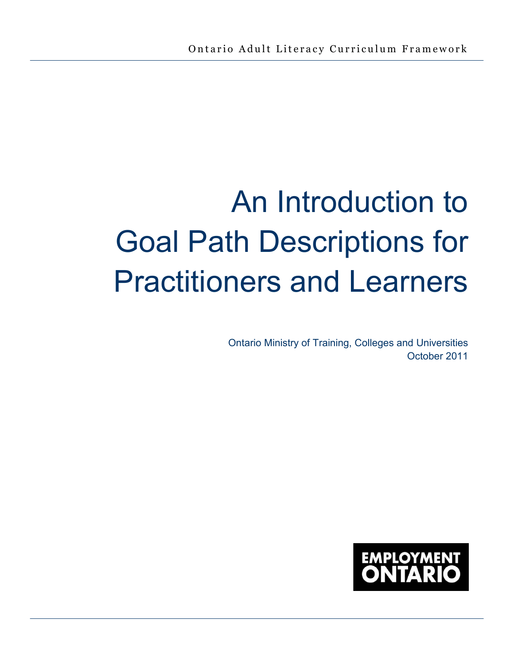# An Introduction to Goal Path Descriptions for Practitioners and Learners

Ontario Ministry of Training, Colleges and Universities October 2011

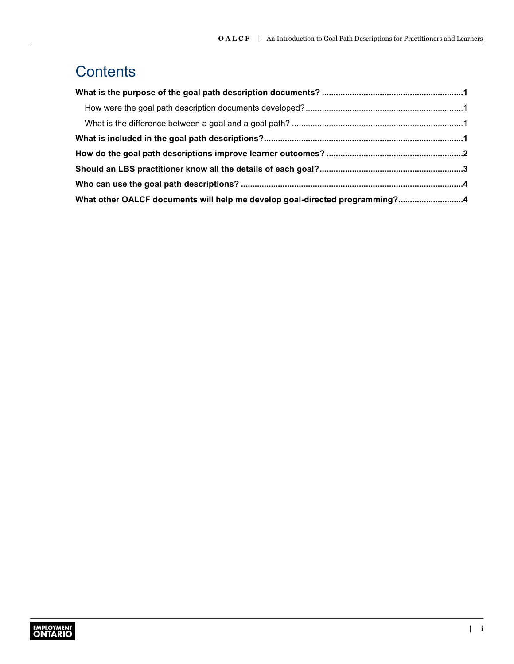#### **Contents**

| What other OALCF documents will help me develop goal-directed programming?4 |  |
|-----------------------------------------------------------------------------|--|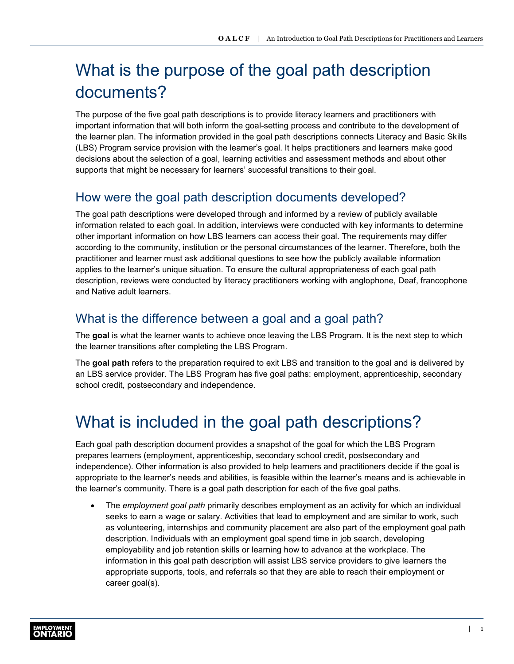# <span id="page-2-0"></span>What is the purpose of the goal path description documents?

The purpose of the five goal path descriptions is to provide literacy learners and practitioners with important information that will both inform the goal-setting process and contribute to the development of the learner plan. The information provided in the goal path descriptions connects Literacy and Basic Skills (LBS) Program service provision with the learner's goal. It helps practitioners and learners make good decisions about the selection of a goal, learning activities and assessment methods and about other supports that might be necessary for learners' successful transitions to their goal.

#### How were the goal path description documents developed?

The goal path descriptions were developed through and informed by a review of publicly available information related to each goal. In addition, interviews were conducted with key informants to determine other important information on how LBS learners can access their goal. The requirements may differ according to the community, institution or the personal circumstances of the learner. Therefore, both the practitioner and learner must ask additional questions to see how the publicly available information applies to the learner's unique situation. To ensure the cultural appropriateness of each goal path description, reviews were conducted by literacy practitioners working with anglophone, Deaf, francophone and Native adult learners.

#### What is the difference between a goal and a goal path?

The **goal** is what the learner wants to achieve once leaving the LBS Program. It is the next step to which the learner transitions after completing the LBS Program.

The **goal path** refers to the preparation required to exit LBS and transition to the goal and is delivered by an LBS service provider. The LBS Program has five goal paths: employment, apprenticeship, secondary school credit, postsecondary and independence.

#### What is included in the goal path descriptions?

Each goal path description document provides a snapshot of the goal for which the LBS Program prepares learners (employment, apprenticeship, secondary school credit, postsecondary and independence). Other information is also provided to help learners and practitioners decide if the goal is appropriate to the learner's needs and abilities, is feasible within the learner's means and is achievable in the learner's community. There is a goal path description for each of the five goal paths.

• The *employment goal path* primarily describes employment as an activity for which an individual seeks to earn a wage or salary. Activities that lead to employment and are similar to work, such as volunteering, internships and community placement are also part of the employment goal path description. Individuals with an employment goal spend time in job search, developing employability and job retention skills or learning how to advance at the workplace. The information in this goal path description will assist LBS service providers to give learners the appropriate supports, tools, and referrals so that they are able to reach their employment or career goal(s).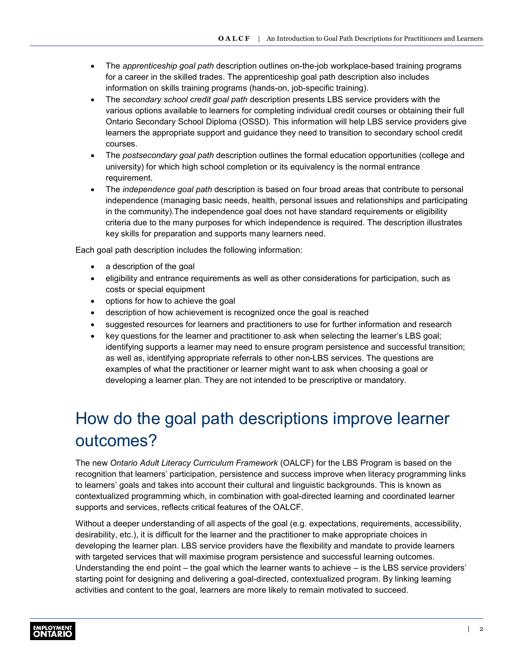- <span id="page-3-0"></span>• The *apprenticeship goal path* description outlines on-the-job workplace-based training programs for a career in the skilled trades. The apprenticeship goal path description also includes information on skills training programs (hands-on, job-specific training).
- The *secondary school credit goal path* description presents LBS service providers with the various options available to learners for completing individual credit courses or obtaining their full Ontario Secondary School Diploma (OSSD). This information will help LBS service providers give learners the appropriate support and guidance they need to transition to secondary school credit courses.
- The *postsecondary goal path* description outlines the formal education opportunities (college and university) for which high school completion or its equivalency is the normal entrance requirement.
- The *independence goal path* description is based on four broad areas that contribute to personal independence (managing basic needs, health, personal issues and relationships and participating in the community).The independence goal does not have standard requirements or eligibility criteria due to the many purposes for which independence is required. The description illustrates key skills for preparation and supports many learners need.

Each goal path description includes the following information:

- a description of the goal
- eligibility and entrance requirements as well as other considerations for participation, such as costs or special equipment
- options for how to achieve the goal
- description of how achievement is recognized once the goal is reached
- suggested resources for learners and practitioners to use for further information and research
- key questions for the learner and practitioner to ask when selecting the learner's LBS goal; identifying supports a learner may need to ensure program persistence and successful transition; as well as, identifying appropriate referrals to other non-LBS services. The questions are examples of what the practitioner or learner might want to ask when choosing a goal or developing a learner plan. They are not intended to be prescriptive or mandatory.

# How do the goal path descriptions improve learner outcomes?

The new *Ontario Adult Literacy Curriculum Framework* (OALCF) for the LBS Program is based on the recognition that learners' participation, persistence and success improve when literacy programming links to learners' goals and takes into account their cultural and linguistic backgrounds. This is known as contextualized programming which, in combination with goal-directed learning and coordinated learner supports and services, reflects critical features of the OALCF.

Without a deeper understanding of all aspects of the goal (e.g. expectations, requirements, accessibility, desirability, etc.), it is difficult for the learner and the practitioner to make appropriate choices in developing the learner plan. LBS service providers have the flexibility and mandate to provide learners with targeted services that will maximise program persistence and successful learning outcomes. Understanding the end point – the goal which the learner wants to achieve – is the LBS service providers' starting point for designing and delivering a goal-directed, contextualized program. By linking learning activities and content to the goal, learners are more likely to remain motivated to succeed.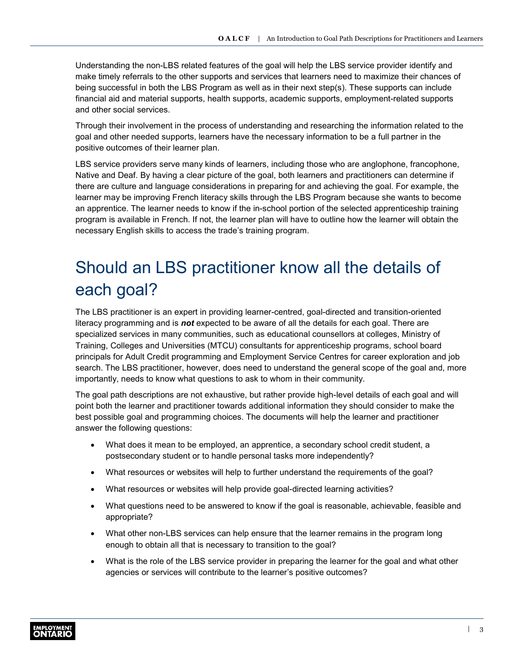<span id="page-4-0"></span>Understanding the non-LBS related features of the goal will help the LBS service provider identify and make timely referrals to the other supports and services that learners need to maximize their chances of being successful in both the LBS Program as well as in their next step(s). These supports can include financial aid and material supports, health supports, academic supports, employment-related supports and other social services.

Through their involvement in the process of understanding and researching the information related to the goal and other needed supports, learners have the necessary information to be a full partner in the positive outcomes of their learner plan.

LBS service providers serve many kinds of learners, including those who are anglophone, francophone, Native and Deaf. By having a clear picture of the goal, both learners and practitioners can determine if there are culture and language considerations in preparing for and achieving the goal. For example, the learner may be improving French literacy skills through the LBS Program because she wants to become an apprentice. The learner needs to know if the in-school portion of the selected apprenticeship training program is available in French. If not, the learner plan will have to outline how the learner will obtain the necessary English skills to access the trade's training program.

# Should an LBS practitioner know all the details of each goal?

The LBS practitioner is an expert in providing learner-centred, goal-directed and transition-oriented literacy programming and is *not* expected to be aware of all the details for each goal. There are specialized services in many communities, such as educational counsellors at colleges, Ministry of Training, Colleges and Universities (MTCU) consultants for apprenticeship programs, school board principals for Adult Credit programming and Employment Service Centres for career exploration and job search. The LBS practitioner, however, does need to understand the general scope of the goal and, more importantly, needs to know what questions to ask to whom in their community.

The goal path descriptions are not exhaustive, but rather provide high-level details of each goal and will point both the learner and practitioner towards additional information they should consider to make the best possible goal and programming choices. The documents will help the learner and practitioner answer the following questions:

- What does it mean to be employed, an apprentice, a secondary school credit student, a postsecondary student or to handle personal tasks more independently?
- What resources or websites will help to further understand the requirements of the goal?
- What resources or websites will help provide goal-directed learning activities?
- What questions need to be answered to know if the goal is reasonable, achievable, feasible and appropriate?
- What other non-LBS services can help ensure that the learner remains in the program long enough to obtain all that is necessary to transition to the goal?
- What is the role of the LBS service provider in preparing the learner for the goal and what other agencies or services will contribute to the learner's positive outcomes?